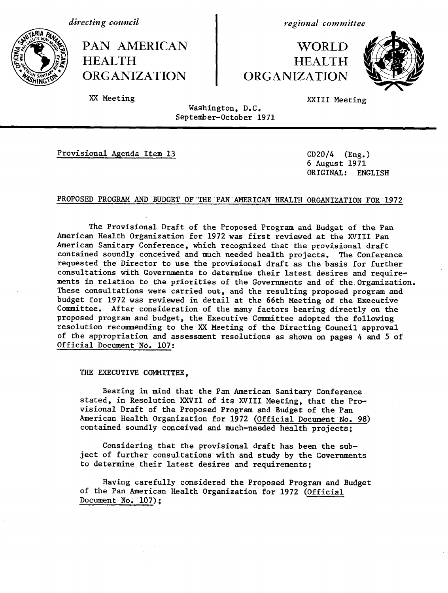*directing council*

PAN AMERICAN | WORLD *{t* **)HEALTH HEALTH** ORGANIZATION | ORGANIZATION

*regional committee*



XX Meeting XXIII Meeting

Washington, D.C. September-October 1971

Provisional Agenda Item 13 CD20/4 (Eng.)

6 August 1971 ORIGINAL: ENGLISH

### PROPOSED PROGRAM AND BUDGET OF THE PAN AMERICAN HEALTH ORGANIZATION FOR 1972

The Provisional Draft of the Proposed Program and Budget of the Pan American Health Organization for 1972 was first reviewed at the XVIII Pan American Sanitary Conference, which recognized that the provisional draft contained soundly conceived and much needed health projects. The Conference requested the Director to use the provisional draft as the basis for further consultations with Governments to determine their latest desires and requirements in relation to the priorities of the Governments and of the Organization. These consultations were carried out, and the resulting proposed program and budget for 1972 was reviewed in detail at the 66th Meeting of the Executive Committee. After consideration of the many factors bearing directly on the proposed program and budget, the Executive Committee adopted the following resolution recommending to the XX Meeting of the Directing Council approval of the appropriation and assessment resolutions as shown on pages 4 and 5 of Official Document No. 107:

THE EXECUTIVE COMMITTEE.

Bearing in mind that the Pan American Sanitary Conference stated, in Resolution XXVII of its XVIII Meeting, that the Provisional Draft of the Proposed Program and Budget of the Pan American Health Organization for 1972 (Official Document No. 98) contained soundly conceived and much-needed health projects;

Considering that the provisional draft has been the subject of further consultations with and study by the Governments to determine their latest desires and requirements;

Having carefully considered the Proposed Program and Budget of the Pan American Health Organization for 1972 (Official Document No. 107);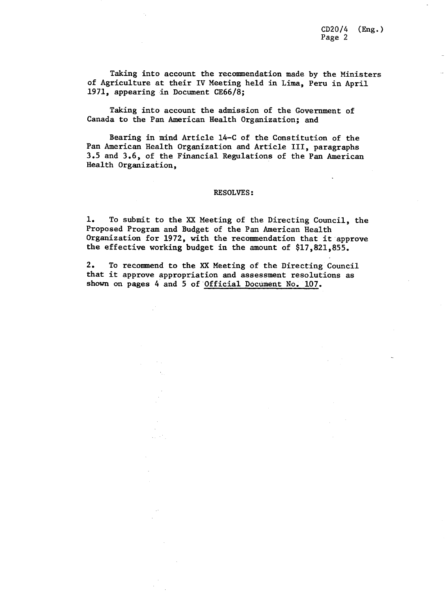CD20/4 (Eng.) Page 2

Taking into account the recommendation made by the Ministers of Agriculture at their IV Meeting held in Lima, Peru in April 1971, appearing in Document CE66/8;

Taking into account the admission of the Government of Canada to the Pan American Health Organization; and

Bearing in mind Article 14-C of the Constitution of the Pan American Health Organization and Article III, paragraphs 3.5 and 3.6, of the Financial Regulations of the Pan American Health Organization,

#### RESOLVES:

1. To submit to the XX Meeting of the Directing Council, the Proposed Program and Budget of the Pan American Health Organization for 1972, with the recommendation that it approve the effective working budget in the amount of \$17,821,855.

2. To recommend to the XX Meeting of the Directing Council that it approve appropriation and assessment resolutions as shown on pages 4 and 5 of Official Document No. 107.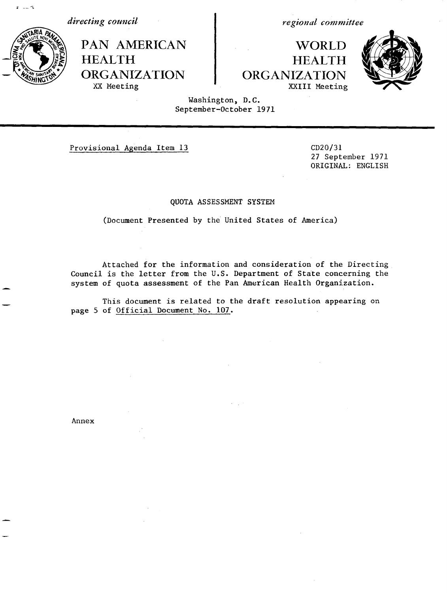*directing council*

PAN AMERICAN HEALTH ORGANIZATION XX Meeting

*regional committee*

# WORLD HEALTH ORGANIZATION XXIII Meeting



Washington, D.C. September-October 1971

Provisional Agenda Item 13 CD20/31

27 September 1971 ORIGINAL: ENGLISH

### QUOTA ASSESSMENT SYSTEM

(Document Presented by the United States of America)

Attached for the information and consideration of the Directing Council is the letter from the U.S. Department of State concerning the system of quota assessment of the Pan American Health Organization.

This document is related to the draft resolution appearing on page 5 of Official Document No. 107.

Annex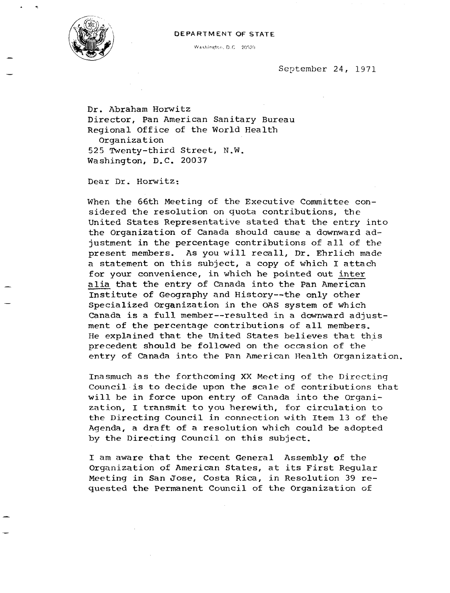#### DEPARTMENT OF STATE



 $W$ ashington, D.C 20520

September 24, 1971

Dr. Abraham Horwitz Director, Pan American Sanitary Bureau Regional Office of the World Health Organization 525 Twenty-third Street, N.W. Washington, D.C. 20037

Dear Dr. Horwitz:

When the 66th Meeting of the Executive Committee considered the resolution on quota contributions, the United States Representative stated that the entry into the Organization of Canada should cause a downward adjustment in the percentage contributions of all of the present members. As you will recall, Dr. Ehrlich made a statement on this subject, a copy of which I attach for your convenience, in which he pointed out inter alia that the entry of Canada into the Pan American Institute of Geography and History--the only other Specialized Organization in the OAS system of which Canada is a full member--resulted in a downward adjustment of the percentage contributions of all members. He explained that the United States believes that this precedent should be followed on the occasion of the entry of Canada into the Pan American Health Organization.

Inasmuch as the forthcoming XX Meeting of the Directing Council is to decide upon the scale of contributions that will be in force upon entry of Canada into the Organization, I transmit to you herewith, for circulation to the Directing Council in connection with Item 13 of the Agenda, a draft of a resolution which could be adopted by the Directing Council on this subject.

I am aware that the recent General Assembly of the Organization of American States, at its First Regular Meeting in San Jose, Costa Rica, in Resolution 39 requested the Permanent Council of the Organization of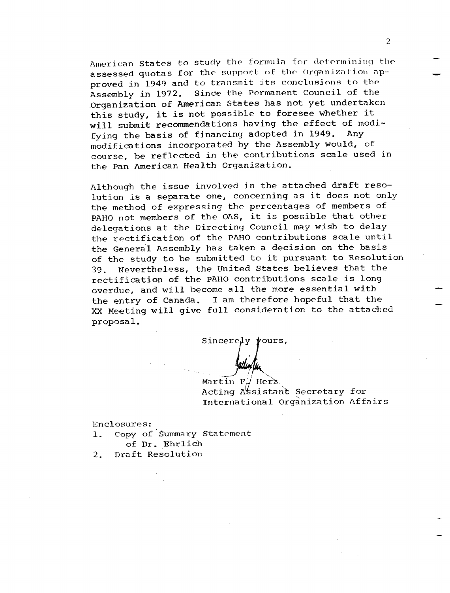American States to study the formula for determining the assessed quotas for the support of the Organization approved in 1949 and to transmit its conclusions to the Assembly in 1972. Since the Permanent Council of the Organization of American States has not yet undertaken this study, it is not possible to foresee whether it will submit recommendations having the effect of modi-<br>fuing the basis of financing adopted in 1949. Any fying the basis of financing adopted in 1949. modifications incorporated by the Assembly would, of course, be reflected in the contributions scale used in the Pan American Health Organization.

Although the issue involved in the attached draft resolution is a separate one, concerning as it does not only the method of expressing the percentages of members of PAHO not members of the OAS, it is possible that other delegations at the Directing Council may wish to delay the rectification of the PAHO contributions scale until the General Assembly has taken a decision on the basis of the study to be submitted to it pursuant to Resolution 39. Nevertheless, the United States believes that the rectification of the PAHO contributions scale is long overdue, and will become all the more essential with the entry of Canada. I am therefore hopeful that the XX Meeting will give full consideration to the attached proposal.

Sincerely  $\gamma$ ours,

Martin F./ Herz. Acting Assistant Secretary for International Organization Affairs

Enclosures:

- 1. Copy of Summary Statement of Dr. Ehrlich
- 2. Draft Resolution

2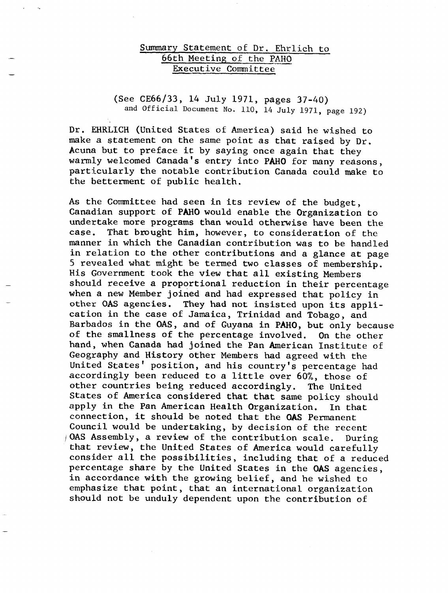## Summary Statement of Dr. Ehrlich to 66th Meeting of the PAHO Executive Committee

# (See CE66/33, 14 July 1971, pages 37-40) and Official Document No. 110, 14 July 1971, page 192)

Dr. EHRLICH (United States of America) said he wished to make a statement on the same point as that raised by Dr. Acuna but to preface it by saying once again that they warmly welcomed Canada's entry into PAHO for many reasons, particularly the notable contribution Canada could make to the betterment of public health.

As the Committee had seen in its review of the budget, Canadian support of PAHO would enable the Organization to undertake more programs than would otherwise have been the case. That brought him, however, to consideration of the That brought him, however, to consideration of the manner in which the Canadian contribution was to be handled in relation to the other contributions and a glance at page 5 revealed what might be termed two classes of membership. His Government took the view that all existing Members should receive a proportional reduction in their percentage when a new Member joined and had expressed that policy in other OAS agencies. They had not insisted upon its application in the case of Jamaica, Trinidad and Tobago, and Barbados in the OAS, and of Guyana in PAHO, but only because of the smallness of the percentage involved. On the other hand, when Canada had joined the Pan American Institute of Geography and History other Members had agreed with the United States' position, and his country's percentage had accordingly been reduced to a little over 60%, those of other countries being reduced accordingly. The United States of America considered that that same policy should apply in the Pan American Health Organization. In that connection, it should be noted that the OAS Permanent Council would be undertaking, by decision of the recent OAS Assembly, a review of the contribution scale. During that review, the United States of America would carefully consider all the possibilities, including that of a reduced percentage share by the United States in the OAS agencies, in accordance with the growing belief, and he wished to emphasize that point, that an international organization should not be unduly dependent upon the contribution of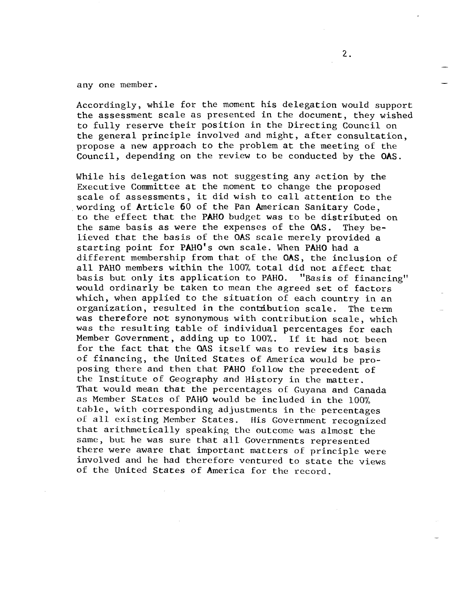any one member.

Accordingly, while for the moment his delegation would support the assessment scale as presented in the document, they wished to fully reserve their position in the Directing Council on the general principle involved and might, after consultation, propose a new approach to the problem at the meeting of the Council, depending on the review to be conducted by the OAS.

While his delegation was not suggesting any action by the Executive Committee at the moment to change the proposed scale of assessments, it did wish to call attention to the wording of Article 60 of the Pan American Sanitary Code, to the effect that the PAHO budget was to be distributed on the same basis as were the expenses of the OAS. They believed that the basis of the OAS scale merely provided a starting point for PAHO's own scale. When PAHO had a different membership from that of the OAS, the inclusion of all PAHO members within the 100% total did not affect that basis but only its application to PAHO. "Basis of financing" would ordinarly be taken to mean the agreed set of factors which, when applied to the situation of each country in an organization, resulted in the contribution scale. The term was therefore not synonymous with contribution scale, which was the resulting table of individual percentages for each Member Government, adding up to 100%. If it had not been for the fact that the OAS itself was to review its basis of financing, the United States of America would be proposing there and then that PAHO follow the precedent of the Institute of Geography and History in the matter. That would mean that the percentages of Guyana and Canada as Member States of PAHO would be included in the 100% table, with corresponding adjustments in the percentages of all existing Member States. His Government recognized that arithmetically speaking the outcome was almost the same, but he was sure that all Governments represented there were aware that important matters of principle were involved and he had therefore ventured to state the views of the United States of America for the record.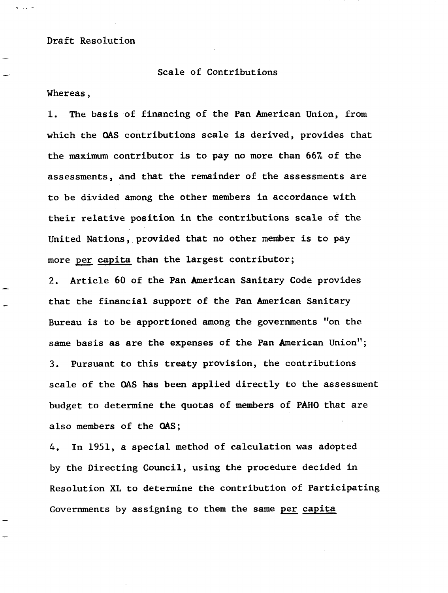Draft Resolution

Scale of Contributions

Whereas,

1. The basis of financing of the Pan American Union, from which the QAS contributions scale is derived, provides that the maximum contributor is to pay no more than 66% of the assessments, and that the remainder of the assessments are to be divided among the other members in accordance with their relative position in the contributions scale of the United Nations, provided that no other member is to pay more per capita than the largest contributor;

2. Article 60 of the Pan American Sanitary Code provides that the financial support of the Pan American Sanitary Bureau is to be apportioned among the governments "on the same basis as are the expenses of the Pan American Union"; 3. Pursuant to this treaty provision, the contributions scale of the OAS has been applied directly to the assessment budget to determine the quotas of members of PAHO that are also members of the OAS;

4. In 1951, a special method of calculation was adopted by the Directing Council, using the procedure decided in Resolution XL to determine the contribution of Participating Governments by assigning to them the same per capita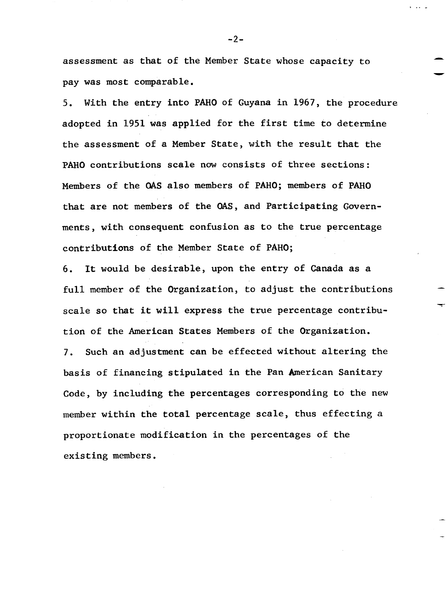assessment as that of the Member State whose capacity to pay was most comparable.

5. With the entry into PAHO of Guyana in 1967, the procedure adopted in 1951 was applied for the first time to determine the assessment of a Member State, with the result that the PAHO contributions scale now consists of three sections: Members of the OAS also members of PAHO; members of PAHO that are not members of the OAS, and Participating Governments, with consequent confusion as to the true percentage contributions of the Member State of PAHO;

6. It would be desirable, upon the entry of Canada as a full member of the Organization, to adjust the contributions scale so that it will express the true percentage contribution of the American States Members of the Organization. 7. Such an adjustment can be effected without altering the basis of financing stipulated in the Pan American Sanitary Code, by including the percentages corresponding to the new member within the total percentage scale, thus effecting a proportionate modification in the percentages of the existing members.

-2-